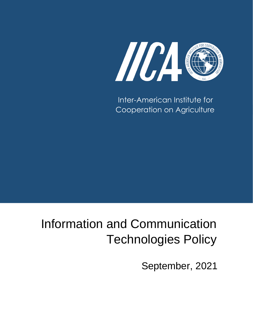

Inter-American Institute for Cooperation on Agriculture

# Information and Communication Technologies Policy

September, 2021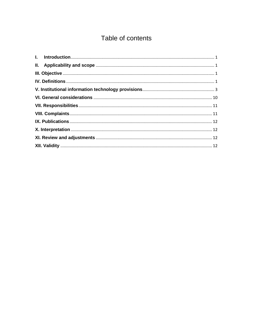# Table of contents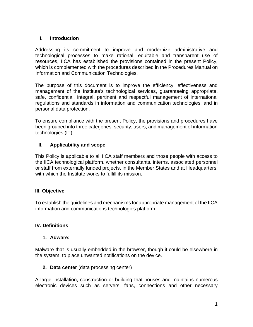#### <span id="page-2-0"></span>**I. Introduction**

Addressing its commitment to improve and modernize administrative and technological processes to make rational, equitable and transparent use of resources, IICA has established the provisions contained in the present Policy, which is complemented with the procedures described in the Procedures Manual on Information and Communication Technologies.

The purpose of this document is to improve the efficiency, effectiveness and management of the Institute's technological services, guaranteeing appropriate, safe, confidential, integral, pertinent and respectful management of international regulations and standards in information and communication technologies, and in personal data protection.

To ensure compliance with the present Policy, the provisions and procedures have been grouped into three categories: security, users, and management of information technologies (IT).

# <span id="page-2-1"></span>**II. Applicability and scope**

This Policy is applicable to all IICA staff members and those people with access to the IICA technological platform, whether consultants, interns, associated personnel or staff from externally funded projects, in the Member States and at Headquarters, with which the Institute works to fulfill its mission.

#### <span id="page-2-2"></span>**III. Objective**

To establish the guidelines and mechanisms for appropriate management of the IICA information and communications technologies platform.

#### <span id="page-2-3"></span>**IV. Definitions**

#### **1. Adware:**

Malware that is usually embedded in the browser, though it could be elsewhere in the system, to place unwanted notifications on the device.

#### **2. Data center** (data processing center)

A large installation, construction or building that houses and maintains numerous electronic devices such as servers, fans, connections and other necessary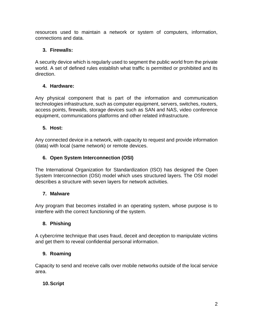resources used to maintain a network or system of computers, information, connections and data.

# **3. Firewalls:**

A security device which is regularly used to segment the public world from the private world. A set of defined rules establish what traffic is permitted or prohibited and its direction.

# **4. Hardware:**

Any physical component that is part of the information and communication technologies infrastructure, such as computer equipment, servers, switches, routers, access points, firewalls, storage devices such as SAN and NAS, video conference equipment, communications platforms and other related infrastructure.

# **5. Host:**

Any connected device in a network, with capacity to request and provide information (data) with local (same network) or remote devices.

# **6. Open System Interconnection (OSI)**

The International Organization for Standardization (ISO) has designed the Open System Interconnection (OSI) model which uses structured layers. The OSI model describes a structure with seven layers for network activities.

# **7. Malware**

Any program that becomes installed in an operating system, whose purpose is to interfere with the correct functioning of the system.

# **8. Phishing**

A cybercrime technique that uses fraud, deceit and deception to manipulate victims and get them to reveal confidential personal information.

# **9. Roaming**

Capacity to send and receive calls over mobile networks outside of the local service area.

# **10.Script**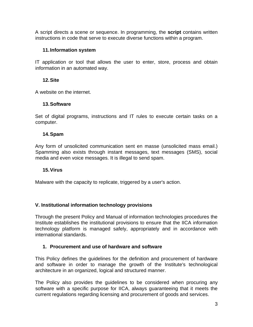A script directs a scene or sequence. In programming, the **script** contains written instructions in code that serve to execute diverse functions within a program.

#### **11.Information system**

IT application or tool that allows the user to enter, store, process and obtain information in an automated way.

#### **12.Site**

A website on the internet.

#### **13.Software**

Set of digital programs, instructions and IT rules to execute certain tasks on a computer.

#### **14.Spam**

Any form of unsolicited communication sent en masse (unsolicited mass email.) Spamming also exists through instant messages, text messages (SMS), social media and even voice messages. It is illegal to send spam.

#### **15.Virus**

Malware with the capacity to replicate, triggered by a user's action.

#### <span id="page-4-0"></span>**V. Institutional information technology provisions**

Through the present Policy and Manual of information technologies procedures the Institute establishes the institutional provisions to ensure that the IICA information technology platform is managed safely, appropriately and in accordance with international standards.

#### **1. Procurement and use of hardware and software**

This Policy defines the guidelines for the definition and procurement of hardware and software in order to manage the growth of the Institute's technological architecture in an organized, logical and structured manner.

The Policy also provides the guidelines to be considered when procuring any software with a specific purpose for IICA, always guaranteeing that it meets the current regulations regarding licensing and procurement of goods and services.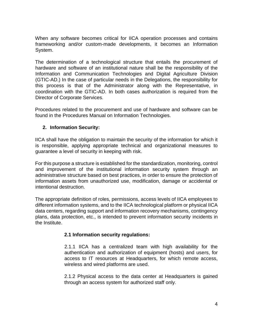When any software becomes critical for IICA operation processes and contains frameworking and/or custom-made developments, it becomes an Information System.

The determination of a technological structure that entails the procurement of hardware and software of an institutional nature shall be the responsibility of the Information and Communication Technologies and Digital Agriculture Division (GTIC-AD.) In the case of particular needs in the Delegations, the responsibility for this process is that of the Administrator along with the Representative, in coordination with the GTIC-AD. In both cases authorization is required from the Director of Corporate Services.

Procedures related to the procurement and use of hardware and software can be found in the Procedures Manual on Information Technologies.

#### **2. Information Security:**

IICA shall have the obligation to maintain the security of the information for which it is responsible, applying appropriate technical and organizational measures to guarantee a level of security in keeping with risk.

For this purpose a structure is established for the standardization, monitoring, control and improvement of the institutional information security system through an administrative structure based on best practices, in order to ensure the protection of information assets from unauthorized use, modification, damage or accidental or intentional destruction.

The appropriate definition of roles, permissions, access levels of IICA employees to different information systems, and to the IICA technological platform or physical IICA data centers, regarding support and information recovery mechanisms, contingency plans, data protection, etc., is intended to prevent information security incidents in the Institute.

#### **2.1 Information security regulations:**

2.1.1 IICA has a centralized team with high availability for the authentication and authorization of equipment (hosts) and users, for access to IT resources at Headquarters, for which remote access, wireless and wired platforms are used.

2.1.2 Physical access to the data center at Headquarters is gained through an access system for authorized staff only.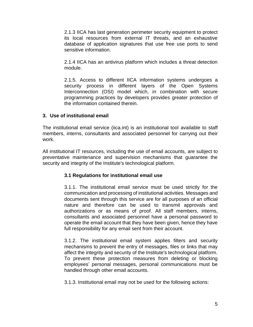2.1.3 IICA has last generation perimeter security equipment to protect its local resources from external IT threats, and an exhaustive database of application signatures that use free use ports to send sensitive information.

2.1.4 IICA has an antivirus platform which includes a threat detection module.

2.1.5. Access to different IICA information systems undergoes a security process in different layers of the Open Systems Interconnection (OSI) model which, in combination with secure programming practices by developers provides greater protection of the information contained therein.

#### **3. Use of institutional email**

The institutional email service (iica.int) is an institutional tool available to staff members, interns, consultants and associated personnel for carrying out their work.

All institutional IT resources, including the use of email accounts, are subject to preventative maintenance and supervision mechanisms that guarantee the security and integrity of the Institute's technological platform.

#### **3.1 Regulations for institutional email use**

3.1.1. The institutional email service must be used strictly for the communication and processing of institutional activities. Messages and documents sent through this service are for all purposes of an official nature and therefore can be used to transmit approvals and authorizations or as means of proof. All staff members, interns, consultants and associated personnel have a personal password to operate the email account that they have been given, hence they have full responsibility for any email sent from their account.

3.1.2. The institutional email system applies filters and security mechanisms to prevent the entry of messages, files or links that may affect the integrity and security of the Institute's technological platform. To prevent these protection measures from deleting or blocking employees' personal messages, personal communications must be handled through other email accounts.

3.1.3. Institutional email may not be used for the following actions: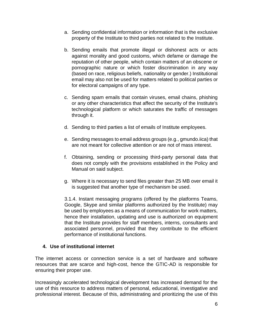- a. Sending confidential information or information that is the exclusive property of the Institute to third parties not related to the Institute.
- b. Sending emails that promote illegal or dishonest acts or acts against morality and good customs, which defame or damage the reputation of other people, which contain matters of an obscene or pornographic nature or which foster discrimination in any way (based on race, religious beliefs, nationality or gender.) Institutional email may also not be used for matters related to political parties or for electoral campaigns of any type.
- c. Sending spam emails that contain viruses, email chains, phishing or any other characteristics that affect the security of the Institute's technological platform or which saturates the traffic of messages through it.
- d. Sending to third parties a list of emails of Institute employees.
- e. Sending messages to email address groups (e.g., gmundo.iica) that are not meant for collective attention or are not of mass interest.
- f. Obtaining, sending or processing third-party personal data that does not comply with the provisions established in the Policy and Manual on said subject.
- g. Where it is necessary to send files greater than 25 MB over email it is suggested that another type of mechanism be used.

3.1.4. Instant messaging programs (offered by the platforms Teams, Google, Skype and similar platforms authorized by the Institute) may be used by employees as a means of communication for work matters, hence their installation, updating and use is authorized on equipment that the Institute provides for staff members, interns, consultants and associated personnel, provided that they contribute to the efficient performance of institutional functions.

#### **4. Use of institutional internet**

The internet access or connection service is a set of hardware and software resources that are scarce and high-cost, hence the GTIC-AD is responsible for ensuring their proper use.

Increasingly accelerated technological development has increased demand for the use of this resource to address matters of personal, educational, investigative and professional interest. Because of this, administrating and prioritizing the use of this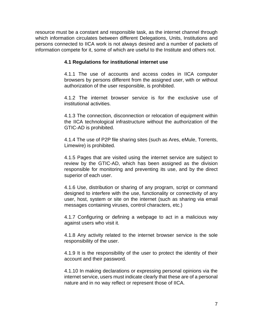resource must be a constant and responsible task, as the internet channel through which information circulates between different Delegations, Units, Institutions and persons connected to IICA work is not always desired and a number of packets of information compete for it, some of which are useful to the Institute and others not.

#### **4.1 Regulations for institutional internet use**

4.1.1 The use of accounts and access codes in IICA computer browsers by persons different from the assigned user, with or without authorization of the user responsible, is prohibited.

4.1.2 The internet browser service is for the exclusive use of institutional activities.

4.1.3 The connection, disconnection or relocation of equipment within the IICA technological infrastructure without the authorization of the GTIC-AD is prohibited.

4.1.4 The use of P2P file sharing sites (such as Ares, eMule, Torrents, Limewire) is prohibited.

4.1.5 Pages that are visited using the internet service are subject to review by the GTIC-AD, which has been assigned as the division responsible for monitoring and preventing its use, and by the direct superior of each user.

4.1.6 Use, distribution or sharing of any program, script or command designed to interfere with the use, functionality or connectivity of any user, host, system or site on the internet (such as sharing via email messages containing viruses, control characters, etc.)

4.1.7 Configuring or defining a webpage to act in a malicious way against users who visit it.

4.1.8 Any activity related to the internet browser service is the sole responsibility of the user.

4.1.9 It is the responsibility of the user to protect the identity of their account and their password.

4.1.10 In making declarations or expressing personal opinions via the internet service, users must indicate clearly that these are of a personal nature and in no way reflect or represent those of IICA.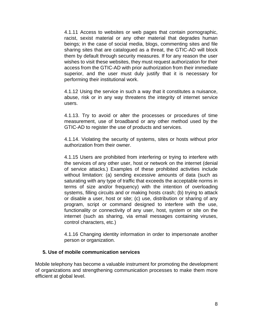4.1.11 Access to websites or web pages that contain pornographic, racist, sexist material or any other material that degrades human beings; in the case of social media, blogs, commenting sites and file sharing sites that are catalogued as a threat, the GTIC-AD will block them by default through security measures. If for any reason the user wishes to visit these websites, they must request authorization for their access from the GTIC-AD with prior authorization from their immediate superior, and the user must duly justify that it is necessary for performing their institutional work.

4.1.12 Using the service in such a way that it constitutes a nuisance, abuse, risk or in any way threatens the integrity of internet service users.

4.1.13. Try to avoid or alter the processes or procedures of time measurement, use of broadband or any other method used by the GTIC-AD to register the use of products and services.

4.1.14. Violating the security of systems, sites or hosts without prior authorization from their owner.

4.1.15 Users are prohibited from interfering or trying to interfere with the services of any other user, host or network on the internet (denial of service attacks.) Examples of these prohibited activities include without limitation: (a) sending excessive amounts of data (such as saturating with any type of traffic that exceeds the acceptable norms in terms of size and/or frequency) with the intention of overloading systems, filling circuits and or making hosts crash; (b) trying to attack or disable a user, host or site; (c) use, distribution or sharing of any program, script or command designed to interfere with the use, functionality or connectivity of any user, host, system or site on the internet (such as sharing, via email messages containing viruses, control characters, etc.)

4.1.16 Changing identity information in order to impersonate another person or organization.

#### **5. Use of mobile communication services**

Mobile telephony has become a valuable instrument for promoting the development of organizations and strengthening communication processes to make them more efficient at global level.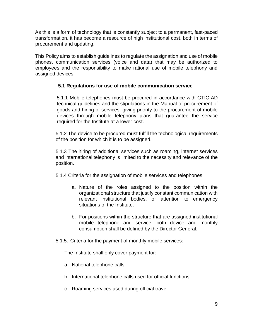As this is a form of technology that is constantly subject to a permanent, fast-paced transformation, it has become a resource of high institutional cost, both in terms of procurement and updating.

This Policy aims to establish guidelines to regulate the assignation and use of mobile phones, communication services (voice and data) that may be authorized to employees and the responsibility to make rational use of mobile telephony and assigned devices.

# **5.1 Regulations for use of mobile communication service**

5.1.1 Mobile telephones must be procured in accordance with GTIC-AD technical guidelines and the stipulations in the Manual of procurement of goods and hiring of services, giving priority to the procurement of mobile devices through mobile telephony plans that guarantee the service required for the Institute at a lower cost.

5.1.2 The device to be procured must fulfill the technological requirements of the position for which it is to be assigned.

5.1.3 The hiring of additional services such as roaming, internet services and international telephony is limited to the necessity and relevance of the position.

5.1.4 Criteria for the assignation of mobile services and telephones:

- a. Nature of the roles assigned to the position within the organizational structure that justify constant communication with relevant institutional bodies, or attention to emergency situations of the Institute.
- b. For positions within the structure that are assigned institutional mobile telephone and service, both device and monthly consumption shall be defined by the Director General.
- 5.1.5. Criteria for the payment of monthly mobile services:

The Institute shall only cover payment for:

- a. National telephone calls.
- b. International telephone calls used for official functions.
- c. Roaming services used during official travel.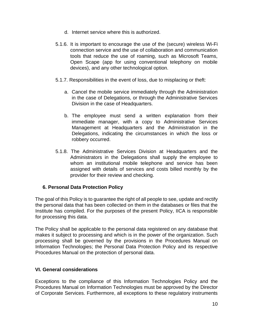- d. Internet service where this is authorized.
- 5.1.6. It is important to encourage the use of the (secure) wireless Wi-Fi connection service and the use of collaboration and communication tools that reduce the use of roaming, such as Microsoft Teams, Open Scape (app for using conventional telephony on mobile devices), and any other technological option.
- 5.1.7. Responsibilities in the event of loss, due to misplacing or theft:
	- a. Cancel the mobile service immediately through the Administration in the case of Delegations, or through the Administrative Services Division in the case of Headquarters.
	- b. The employee must send a written explanation from their immediate manager, with a copy to Administrative Services Management at Headquarters and the Administration in the Delegations, indicating the circumstances in which the loss or robbery occurred.
- 5.1.8. The Administrative Services Division at Headquarters and the Administrators in the Delegations shall supply the employee to whom an institutional mobile telephone and service has been assigned with details of services and costs billed monthly by the provider for their review and checking.

#### **6. Personal Data Protection Policy**

The goal of this Policy is to guarantee the right of all people to see, update and rectify the personal data that has been collected on them in the databases or files that the Institute has compiled. For the purposes of the present Policy, IICA is responsible for processing this data.

The Policy shall be applicable to the personal data registered on any database that makes it subject to processing and which is in the power of the organization. Such processing shall be governed by the provisions in the Procedures Manual on Information Technologies; the Personal Data Protection Policy and its respective Procedures Manual on the protection of personal data.

#### <span id="page-11-0"></span>**VI. General considerations**

Exceptions to the compliance of this Information Technologies Policy and the Procedures Manual on Information Technologies must be approved by the Director of Corporate Services. Furthermore, all exceptions to these regulatory instruments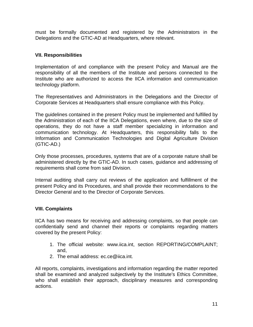must be formally documented and registered by the Administrators in the Delegations and the GTIC-AD at Headquarters, where relevant.

#### <span id="page-12-0"></span>**VII. Responsibilities**

Implementation of and compliance with the present Policy and Manual are the responsibility of all the members of the Institute and persons connected to the Institute who are authorized to access the IICA information and communication technology platform.

The Representatives and Administrators in the Delegations and the Director of Corporate Services at Headquarters shall ensure compliance with this Policy.

The guidelines contained in the present Policy must be implemented and fulfilled by the Administration of each of the IICA Delegations, even where, due to the size of operations, they do not have a staff member specializing in information and communication technology. At Headquarters, this responsibility falls to the Information and Communication Technologies and Digital Agriculture Division (GTIC-AD.)

Only those processes, procedures, systems that are of a corporate nature shall be administered directly by the GTIC-AD. In such cases, guidance and addressing of requirements shall come from said Division.

Internal auditing shall carry out reviews of the application and fulfillment of the present Policy and its Procedures, and shall provide their recommendations to the Director General and to the Director of Corporate Services.

#### <span id="page-12-1"></span>**VIII. Complaints**

IICA has two means for receiving and addressing complaints, so that people can confidentially send and channel their reports or complaints regarding matters covered by the present Policy:

- 1. The official website: www.iica.int, section REPORTING/COMPLAINT; and,
- 2. The email address: ec.ce@iica.int.

All reports, complaints, investigations and information regarding the matter reported shall be examined and analyzed subjectively by the Institute's Ethics Committee, who shall establish their approach, disciplinary measures and corresponding actions.